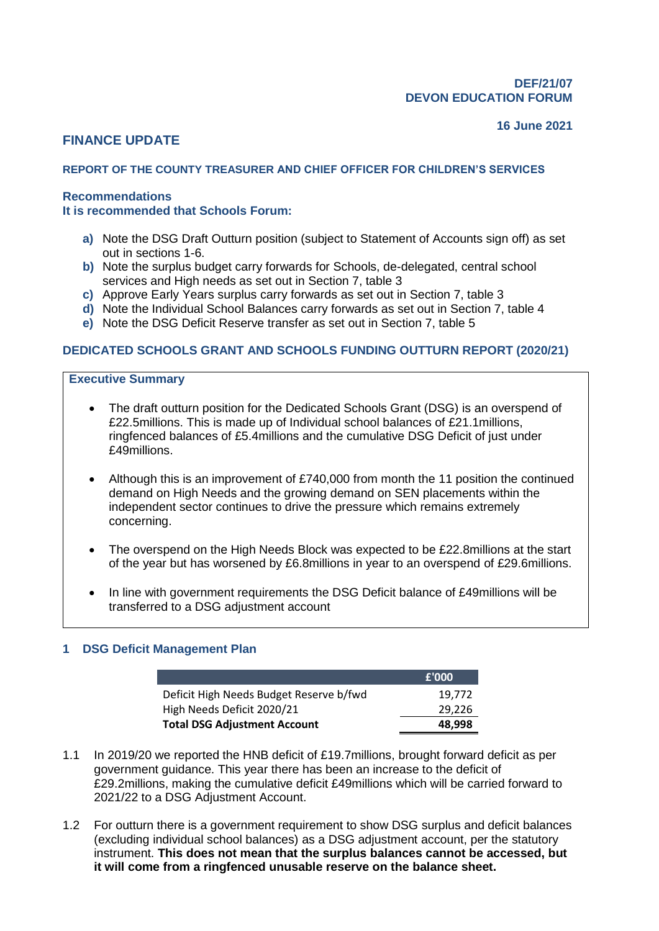#### **16 June 2021**

# **FINANCE UPDATE**

## **REPORT OF THE COUNTY TREASURER AND CHIEF OFFICER FOR CHILDREN'S SERVICES**

## **Recommendations**

#### **It is recommended that Schools Forum:**

- **a)** Note the DSG Draft Outturn position (subject to Statement of Accounts sign off) as set out in sections 1-6.
- **b)** Note the surplus budget carry forwards for Schools, de-delegated, central school services and High needs as set out in Section 7, table 3
- **c)** Approve Early Years surplus carry forwards as set out in Section 7, table 3
- **d)** Note the Individual School Balances carry forwards as set out in Section 7, table 4
- **e)** Note the DSG Deficit Reserve transfer as set out in Section 7, table 5

## **DEDICATED SCHOOLS GRANT AND SCHOOLS FUNDING OUTTURN REPORT (2020/21)**

#### **Executive Summary**

- The draft outturn position for the Dedicated Schools Grant (DSG) is an overspend of £22.5millions. This is made up of Individual school balances of £21.1millions, ringfenced balances of £5.4millions and the cumulative DSG Deficit of just under £49millions.
- Although this is an improvement of £740,000 from month the 11 position the continued demand on High Needs and the growing demand on SEN placements within the independent sector continues to drive the pressure which remains extremely concerning.
- The overspend on the High Needs Block was expected to be £22.8millions at the start of the year but has worsened by £6.8millions in year to an overspend of £29.6millions.
- In line with government requirements the DSG Deficit balance of £49millions will be transferred to a DSG adjustment account

## **1 DSG Deficit Management Plan**

|                                         | £'000  |
|-----------------------------------------|--------|
| Deficit High Needs Budget Reserve b/fwd | 19.772 |
| High Needs Deficit 2020/21              | 29,226 |
| <b>Total DSG Adjustment Account</b>     | 48.998 |

- 1.1 In 2019/20 we reported the HNB deficit of £19.7millions, brought forward deficit as per government guidance. This year there has been an increase to the deficit of £29.2millions, making the cumulative deficit £49millions which will be carried forward to 2021/22 to a DSG Adjustment Account.
- 1.2 For outturn there is a government requirement to show DSG surplus and deficit balances (excluding individual school balances) as a DSG adjustment account, per the statutory instrument. **This does not mean that the surplus balances cannot be accessed, but it will come from a ringfenced unusable reserve on the balance sheet.**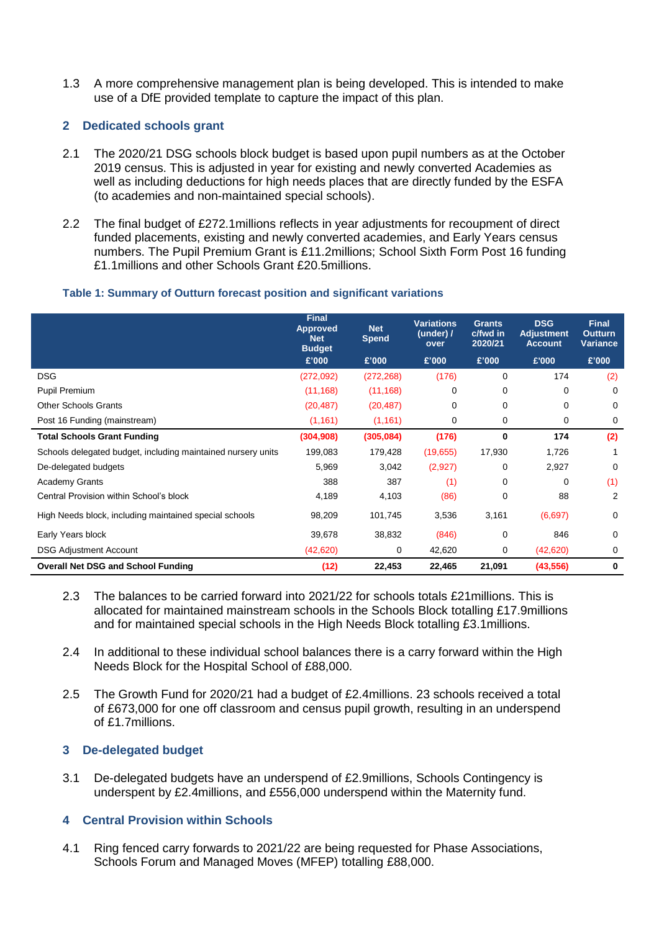1.3 A more comprehensive management plan is being developed. This is intended to make use of a DfE provided template to capture the impact of this plan.

## **2 Dedicated schools grant**

- 2.1 The 2020/21 DSG schools block budget is based upon pupil numbers as at the October 2019 census. This is adjusted in year for existing and newly converted Academies as well as including deductions for high needs places that are directly funded by the ESFA (to academies and non-maintained special schools).
- 2.2 The final budget of £272.1millions reflects in year adjustments for recoupment of direct funded placements, existing and newly converted academies, and Early Years census numbers. The Pupil Premium Grant is £11.2millions; School Sixth Form Post 16 funding £1.1millions and other Schools Grant £20.5millions.

## **Table 1: Summary of Outturn forecast position and significant variations**

|                                                              | <b>Final</b><br>Approved<br><b>Net</b><br><b>Budget</b> | <b>Net</b><br><b>Spend</b> | <b>Variations</b><br>(under) $\prime$<br>over | <b>Grants</b><br>c/fwd in<br>2020/21 | <b>DSG</b><br><b>Adjustment</b><br><b>Account</b> | <b>Final</b><br><b>Outturn</b><br><b>Variance</b> |
|--------------------------------------------------------------|---------------------------------------------------------|----------------------------|-----------------------------------------------|--------------------------------------|---------------------------------------------------|---------------------------------------------------|
|                                                              | £'000                                                   | £'000                      | £'000                                         | £'000                                | £'000                                             | £'000                                             |
| <b>DSG</b>                                                   | (272,092)                                               | (272, 268)                 | (176)                                         | 0                                    | 174                                               | (2)                                               |
| Pupil Premium                                                | (11, 168)                                               | (11, 168)                  | 0                                             | 0                                    | 0                                                 | $\Omega$                                          |
| <b>Other Schools Grants</b>                                  | (20, 487)                                               | (20, 487)                  | 0                                             | 0                                    | 0                                                 | $\Omega$                                          |
| Post 16 Funding (mainstream)                                 | (1, 161)                                                | (1, 161)                   | 0                                             | 0                                    | 0                                                 | 0                                                 |
| <b>Total Schools Grant Funding</b>                           | (304, 908)                                              | (305, 084)                 | (176)                                         | 0                                    | 174                                               | (2)                                               |
| Schools delegated budget, including maintained nursery units | 199,083                                                 | 179,428                    | (19,655)                                      | 17,930                               | 1,726                                             |                                                   |
| De-delegated budgets                                         | 5,969                                                   | 3,042                      | (2,927)                                       | 0                                    | 2,927                                             | $\Omega$                                          |
| <b>Academy Grants</b>                                        | 388                                                     | 387                        | (1)                                           | 0                                    | $\Omega$                                          | (1)                                               |
| Central Provision within School's block                      | 4,189                                                   | 4,103                      | (86)                                          | $\Omega$                             | 88                                                | 2                                                 |
| High Needs block, including maintained special schools       | 98,209                                                  | 101,745                    | 3,536                                         | 3,161                                | (6,697)                                           | 0                                                 |
| Early Years block                                            | 39,678                                                  | 38,832                     | (846)                                         | 0                                    | 846                                               | $\Omega$                                          |
| <b>DSG Adjustment Account</b>                                | (42, 620)                                               | 0                          | 42,620                                        | 0                                    | (42, 620)                                         | 0                                                 |
| <b>Overall Net DSG and School Funding</b>                    | (12)                                                    | 22,453                     | 22,465                                        | 21,091                               | (43, 556)                                         | 0                                                 |

- 2.3 The balances to be carried forward into 2021/22 for schools totals £21millions. This is allocated for maintained mainstream schools in the Schools Block totalling £17.9millions and for maintained special schools in the High Needs Block totalling £3.1millions.
- 2.4 In additional to these individual school balances there is a carry forward within the High Needs Block for the Hospital School of £88,000.
- 2.5 The Growth Fund for 2020/21 had a budget of £2.4millions. 23 schools received a total of £673,000 for one off classroom and census pupil growth, resulting in an underspend of £1.7millions.

## **3 De-delegated budget**

3.1 De-delegated budgets have an underspend of £2.9millions, Schools Contingency is underspent by £2.4millions, and £556,000 underspend within the Maternity fund.

## **4 Central Provision within Schools**

4.1 Ring fenced carry forwards to 2021/22 are being requested for Phase Associations, Schools Forum and Managed Moves (MFEP) totalling £88,000.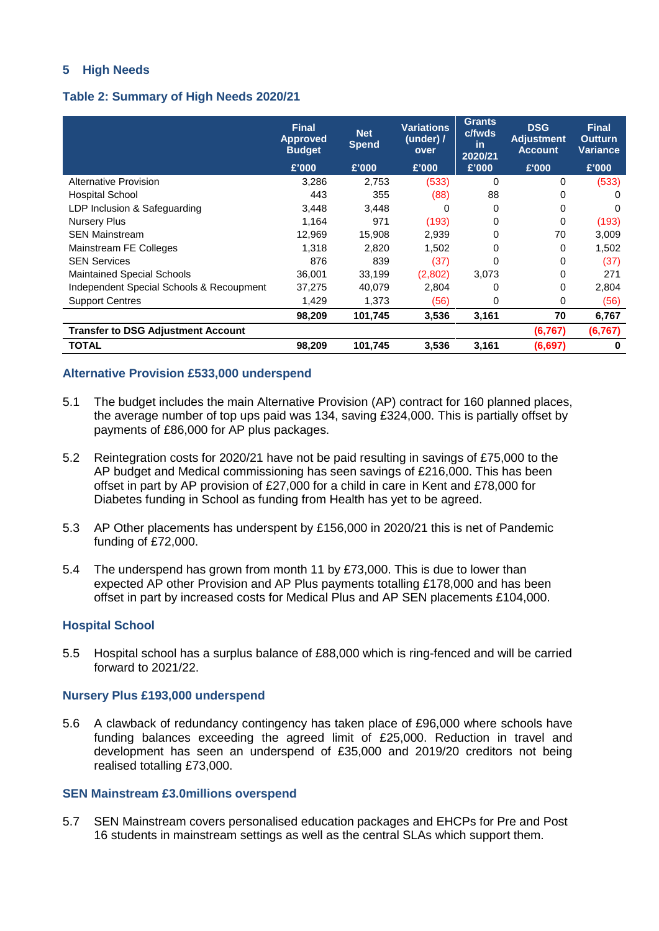## **5 High Needs**

## **Table 2: Summary of High Needs 2020/21**

|                                           | <b>Final</b><br><b>Approved</b><br><b>Budget</b> | <b>Net</b><br><b>Spend</b> | <b>Variations</b><br>(under) $\prime$<br>over | <b>Grants</b><br>c/fwds<br>in<br>2020/21 | <b>DSG</b><br><b>Adjustment</b><br><b>Account</b> | <b>Final</b><br><b>Outturn</b><br><b>Variance</b> |
|-------------------------------------------|--------------------------------------------------|----------------------------|-----------------------------------------------|------------------------------------------|---------------------------------------------------|---------------------------------------------------|
|                                           | £'000                                            | £'000                      | £'000                                         | £'000                                    | £'000                                             | £'000                                             |
| Alternative Provision                     | 3,286                                            | 2,753                      | (533)                                         | 0                                        | 0                                                 | (533)                                             |
| Hospital School                           | 443                                              | 355                        | (88)                                          | 88                                       | 0                                                 |                                                   |
| LDP Inclusion & Safeguarding              | 3,448                                            | 3,448                      |                                               | 0                                        | 0                                                 | 0                                                 |
| Nursery Plus                              | 1,164                                            | 971                        | (193)                                         | 0                                        | 0                                                 | (193)                                             |
| <b>SEN Mainstream</b>                     | 12,969                                           | 15,908                     | 2,939                                         | 0                                        | 70                                                | 3,009                                             |
| Mainstream FE Colleges                    | 1,318                                            | 2,820                      | 1,502                                         | 0                                        | 0                                                 | 1,502                                             |
| <b>SEN Services</b>                       | 876                                              | 839                        | (37)                                          | O                                        | 0                                                 | (37)                                              |
| <b>Maintained Special Schools</b>         | 36,001                                           | 33,199                     | (2,802)                                       | 3,073                                    | 0                                                 | 271                                               |
| Independent Special Schools & Recoupment  | 37,275                                           | 40,079                     | 2,804                                         | 0                                        | 0                                                 | 2,804                                             |
| <b>Support Centres</b>                    | 1,429                                            | 1,373                      | (56)                                          | 0                                        | 0                                                 | (56)                                              |
|                                           | 98,209                                           | 101,745                    | 3,536                                         | 3,161                                    | 70                                                | 6,767                                             |
| <b>Transfer to DSG Adjustment Account</b> |                                                  |                            |                                               |                                          | (6, 767)                                          | (6, 767)                                          |
| <b>TOTAL</b>                              | 98,209                                           | 101,745                    | 3,536                                         | 3,161                                    | (6,697)                                           | 0                                                 |

## **Alternative Provision £533,000 underspend**

- 5.1 The budget includes the main Alternative Provision (AP) contract for 160 planned places, the average number of top ups paid was 134, saving £324,000. This is partially offset by payments of £86,000 for AP plus packages.
- 5.2 Reintegration costs for 2020/21 have not be paid resulting in savings of £75,000 to the AP budget and Medical commissioning has seen savings of £216,000. This has been offset in part by AP provision of £27,000 for a child in care in Kent and £78,000 for Diabetes funding in School as funding from Health has yet to be agreed.
- 5.3 AP Other placements has underspent by £156,000 in 2020/21 this is net of Pandemic funding of £72,000.
- 5.4 The underspend has grown from month 11 by £73,000. This is due to lower than expected AP other Provision and AP Plus payments totalling £178,000 and has been offset in part by increased costs for Medical Plus and AP SEN placements £104,000.

## **Hospital School**

5.5 Hospital school has a surplus balance of £88,000 which is ring-fenced and will be carried forward to 2021/22.

#### **Nursery Plus £193,000 underspend**

5.6 A clawback of redundancy contingency has taken place of £96,000 where schools have funding balances exceeding the agreed limit of £25,000. Reduction in travel and development has seen an underspend of £35,000 and 2019/20 creditors not being realised totalling £73,000.

#### **SEN Mainstream £3.0millions overspend**

5.7 SEN Mainstream covers personalised education packages and EHCPs for Pre and Post 16 students in mainstream settings as well as the central SLAs which support them.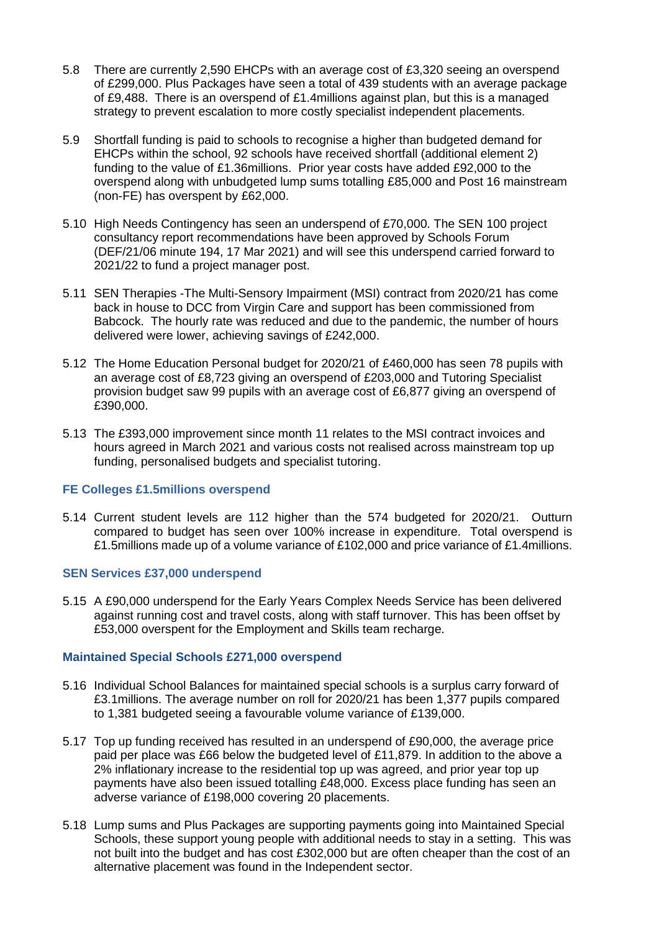- 5.8 There are currently 2,590 EHCPs with an average cost of £3,320 seeing an overspend of £299,000. Plus Packages have seen a total of 439 students with an average package of £9,488. There is an overspend of £1.4millions against plan, but this is a managed strategy to prevent escalation to more costly specialist independent placements.
- 5.9 Shortfall funding is paid to schools to recognise a higher than budgeted demand for EHCPs within the school, 92 schools have received shortfall (additional element 2) funding to the value of £1.36millions. Prior year costs have added £92,000 to the overspend along with unbudgeted lump sums totalling £85,000 and Post 16 mainstream (non-FE) has overspent by £62,000.
- 5.10 High Needs Contingency has seen an underspend of £70,000. The SEN 100 project consultancy report recommendations have been approved by Schools Forum (DEF/21/06 minute 194, 17 Mar 2021) and will see this underspend carried forward to 2021/22 to fund a project manager post.
- 5.11 SEN Therapies -The Multi-Sensory Impairment (MSI) contract from 2020/21 has come back in house to DCC from Virgin Care and support has been commissioned from Babcock. The hourly rate was reduced and due to the pandemic, the number of hours delivered were lower, achieving savings of £242,000.
- 5.12 The Home Education Personal budget for 2020/21 of £460,000 has seen 78 pupils with an average cost of £8,723 giving an overspend of £203,000 and Tutoring Specialist provision budget saw 99 pupils with an average cost of £6,877 giving an overspend of £390,000.
- 5.13 The £393,000 improvement since month 11 relates to the MSI contract invoices and hours agreed in March 2021 and various costs not realised across mainstream top up funding, personalised budgets and specialist tutoring.

## **FE Colleges £1.5millions overspend**

5.14 Current student levels are 112 higher than the 574 budgeted for 2020/21. Outturn compared to budget has seen over 100% increase in expenditure. Total overspend is £1.5millions made up of a volume variance of £102,000 and price variance of £1.4millions.

## **SEN Services £37,000 underspend**

5.15 A £90,000 underspend for the Early Years Complex Needs Service has been delivered against running cost and travel costs, along with staff turnover. This has been offset by £53,000 overspent for the Employment and Skills team recharge.

## **Maintained Special Schools £271,000 overspend**

- 5.16 Individual School Balances for maintained special schools is a surplus carry forward of £3.1millions. The average number on roll for 2020/21 has been 1,377 pupils compared to 1,381 budgeted seeing a favourable volume variance of £139,000.
- 5.17 Top up funding received has resulted in an underspend of £90,000, the average price paid per place was £66 below the budgeted level of £11,879. In addition to the above a 2% inflationary increase to the residential top up was agreed, and prior year top up payments have also been issued totalling £48,000. Excess place funding has seen an adverse variance of £198,000 covering 20 placements.
- 5.18 Lump sums and Plus Packages are supporting payments going into Maintained Special Schools, these support young people with additional needs to stay in a setting. This was not built into the budget and has cost £302,000 but are often cheaper than the cost of an alternative placement was found in the Independent sector.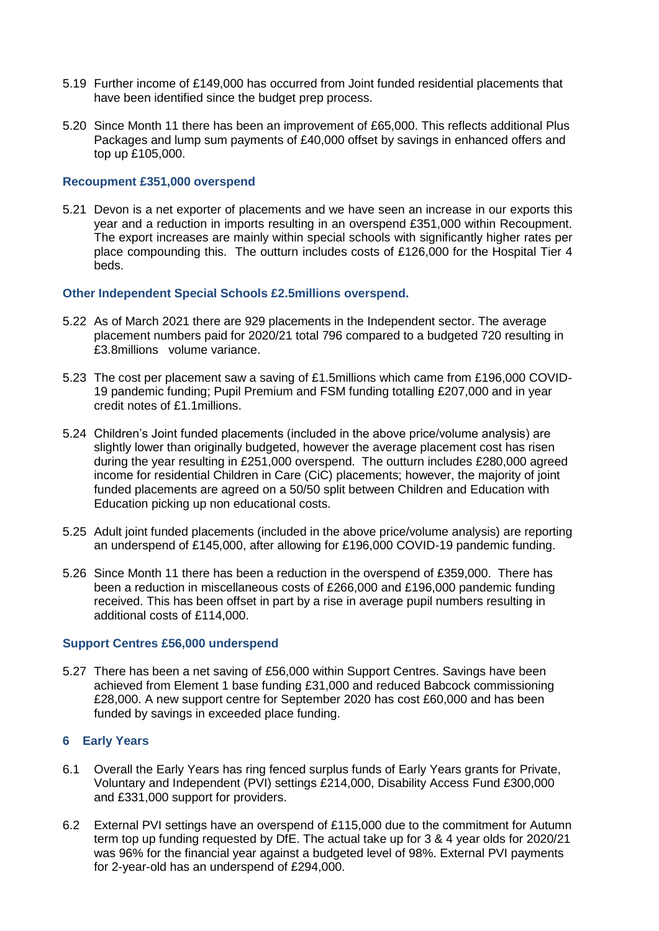- 5.19 Further income of £149,000 has occurred from Joint funded residential placements that have been identified since the budget prep process.
- 5.20 Since Month 11 there has been an improvement of £65,000. This reflects additional Plus Packages and lump sum payments of £40,000 offset by savings in enhanced offers and top up £105,000.

#### **Recoupment £351,000 overspend**

5.21 Devon is a net exporter of placements and we have seen an increase in our exports this year and a reduction in imports resulting in an overspend £351,000 within Recoupment. The export increases are mainly within special schools with significantly higher rates per place compounding this. The outturn includes costs of £126,000 for the Hospital Tier 4 beds.

## **Other Independent Special Schools £2.5millions overspend.**

- 5.22 As of March 2021 there are 929 placements in the Independent sector. The average placement numbers paid for 2020/21 total 796 compared to a budgeted 720 resulting in £3.8millions volume variance.
- 5.23 The cost per placement saw a saving of £1.5millions which came from £196,000 COVID-19 pandemic funding; Pupil Premium and FSM funding totalling £207,000 and in year credit notes of £1.1millions.
- 5.24 Children's Joint funded placements (included in the above price/volume analysis) are slightly lower than originally budgeted, however the average placement cost has risen during the year resulting in £251,000 overspend. The outturn includes £280,000 agreed income for residential Children in Care (CiC) placements; however, the majority of joint funded placements are agreed on a 50/50 split between Children and Education with Education picking up non educational costs.
- 5.25 Adult joint funded placements (included in the above price/volume analysis) are reporting an underspend of £145,000, after allowing for £196,000 COVID-19 pandemic funding.
- 5.26 Since Month 11 there has been a reduction in the overspend of £359,000. There has been a reduction in miscellaneous costs of £266,000 and £196,000 pandemic funding received. This has been offset in part by a rise in average pupil numbers resulting in additional costs of £114,000.

#### **Support Centres £56,000 underspend**

5.27 There has been a net saving of £56,000 within Support Centres. Savings have been achieved from Element 1 base funding £31,000 and reduced Babcock commissioning £28,000. A new support centre for September 2020 has cost £60,000 and has been funded by savings in exceeded place funding.

#### **6 Early Years**

- 6.1 Overall the Early Years has ring fenced surplus funds of Early Years grants for Private, Voluntary and Independent (PVI) settings £214,000, Disability Access Fund £300,000 and £331,000 support for providers.
- 6.2 External PVI settings have an overspend of £115,000 due to the commitment for Autumn term top up funding requested by DfE. The actual take up for 3 & 4 year olds for 2020/21 was 96% for the financial year against a budgeted level of 98%. External PVI payments for 2-year-old has an underspend of £294,000.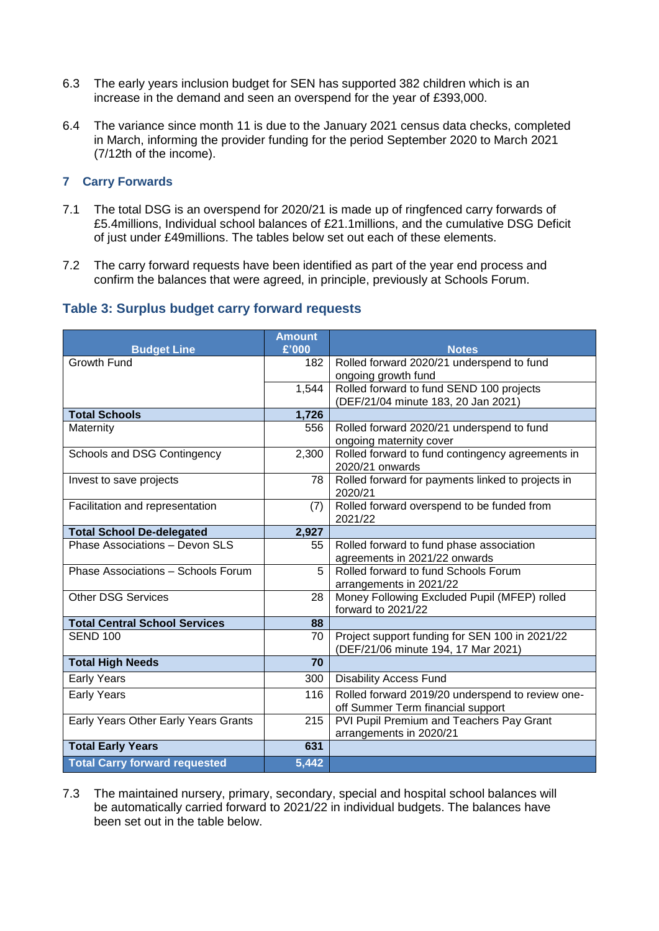- 6.3 The early years inclusion budget for SEN has supported 382 children which is an increase in the demand and seen an overspend for the year of £393,000.
- 6.4 The variance since month 11 is due to the January 2021 census data checks, completed in March, informing the provider funding for the period September 2020 to March 2021 (7/12th of the income).

## **7 Carry Forwards**

- 7.1 The total DSG is an overspend for 2020/21 is made up of ringfenced carry forwards of £5.4millions, Individual school balances of £21.1millions, and the cumulative DSG Deficit of just under £49millions. The tables below set out each of these elements.
- 7.2 The carry forward requests have been identified as part of the year end process and confirm the balances that were agreed, in principle, previously at Schools Forum.

## **Table 3: Surplus budget carry forward requests**

| <b>Budget Line</b>                   | <b>Amount</b><br>£'000 | <b>Notes</b>                                                        |
|--------------------------------------|------------------------|---------------------------------------------------------------------|
| <b>Growth Fund</b>                   | 182                    | Rolled forward 2020/21 underspend to fund                           |
|                                      |                        | ongoing growth fund                                                 |
|                                      | 1,544                  | Rolled forward to fund SEND 100 projects                            |
|                                      |                        | (DEF/21/04 minute 183, 20 Jan 2021)                                 |
| <b>Total Schools</b>                 | 1,726                  |                                                                     |
| Maternity                            | 556                    | Rolled forward 2020/21 underspend to fund                           |
|                                      |                        | ongoing maternity cover                                             |
| Schools and DSG Contingency          | 2,300                  | Rolled forward to fund contingency agreements in<br>2020/21 onwards |
| Invest to save projects              | 78                     | Rolled forward for payments linked to projects in<br>2020/21        |
| Facilitation and representation      | (7)                    | Rolled forward overspend to be funded from                          |
|                                      |                        | 2021/22                                                             |
| <b>Total School De-delegated</b>     | 2,927                  |                                                                     |
| Phase Associations - Devon SLS       | 55                     | Rolled forward to fund phase association                            |
|                                      |                        | agreements in 2021/22 onwards                                       |
| Phase Associations - Schools Forum   | 5                      | Rolled forward to fund Schools Forum                                |
|                                      |                        | arrangements in 2021/22                                             |
| <b>Other DSG Services</b>            | 28                     | Money Following Excluded Pupil (MFEP) rolled                        |
|                                      |                        | forward to 2021/22                                                  |
| <b>Total Central School Services</b> | 88                     |                                                                     |
| <b>SEND 100</b>                      | 70                     | Project support funding for SEN 100 in 2021/22                      |
|                                      |                        | (DEF/21/06 minute 194, 17 Mar 2021)                                 |
| <b>Total High Needs</b>              | $\overline{70}$        |                                                                     |
| <b>Early Years</b>                   | 300                    | <b>Disability Access Fund</b>                                       |
| <b>Early Years</b>                   | 116                    | Rolled forward 2019/20 underspend to review one-                    |
|                                      |                        | off Summer Term financial support                                   |
| Early Years Other Early Years Grants | 215                    | PVI Pupil Premium and Teachers Pay Grant                            |
|                                      |                        | arrangements in 2020/21                                             |
| <b>Total Early Years</b>             | 631                    |                                                                     |
| <b>Total Carry forward requested</b> | 5,442                  |                                                                     |

7.3 The maintained nursery, primary, secondary, special and hospital school balances will be automatically carried forward to 2021/22 in individual budgets. The balances have been set out in the table below.